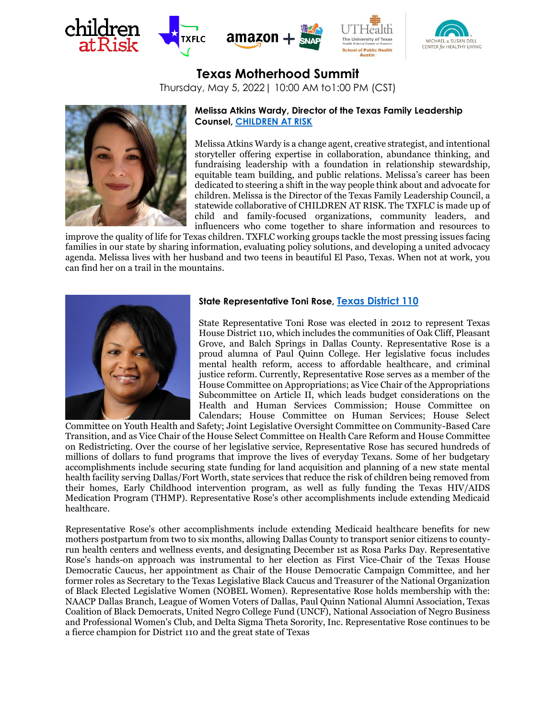



# **Texas Motherhood Summit**

Thursday, May 5, 2022| 10:00 AM to1:00 PM (CST)



## **Melissa Atkins Wardy, Director of the Texas Family Leadership Counsel, [CHILDREN AT RISK](https://childrenatrisk.org/)**

Melissa Atkins Wardy is a change agent, creative strategist, and intentional storyteller offering expertise in collaboration, abundance thinking, and fundraising leadership with a foundation in relationship stewardship, equitable team building, and public relations. Melissa's career has been dedicated to steering a shift in the way people think about and advocate for children. Melissa is the Director of the Texas Family Leadership Council, a statewide collaborative of CHILDREN AT RISK. The TXFLC is made up of child and family-focused organizations, community leaders, and influencers who come together to share information and resources to

improve the quality of life for Texas children. TXFLC working groups tackle the most pressing issues facing families in our state by sharing information, evaluating policy solutions, and developing a united advocacy agenda. Melissa lives with her husband and two teens in beautiful El Paso, Texas. When not at work, you can find her on a trail in the mountains.



## **State Representative Toni Rose, Texas [District 110](https://house.texas.gov/members/member-page/?district=110)**

State Representative Toni Rose was elected in 2012 to represent Texas House District 110, which includes the communities of Oak Cliff, Pleasant Grove, and Balch Springs in Dallas County. Representative Rose is a proud alumna of Paul Quinn College. Her legislative focus includes mental health reform, access to affordable healthcare, and criminal justice reform. Currently, Representative Rose serves as a member of the House Committee on Appropriations; as Vice Chair of the Appropriations Subcommittee on Article II, which leads budget considerations on the Health and Human Services Commission; House Committee on Calendars; House Committee on Human Services; House Select

Committee on Youth Health and Safety; Joint Legislative Oversight Committee on Community-Based Care Transition, and as Vice Chair of the House Select Committee on Health Care Reform and House Committee on Redistricting. Over the course of her legislative service, Representative Rose has secured hundreds of millions of dollars to fund programs that improve the lives of everyday Texans. Some of her budgetary accomplishments include securing state funding for land acquisition and planning of a new state mental health facility serving Dallas/Fort Worth, state services that reduce the risk of children being removed from their homes, Early Childhood intervention program, as well as fully funding the Texas HIV/AIDS Medication Program (THMP). Representative Rose's other accomplishments include extending Medicaid healthcare.

Representative Rose's other accomplishments include extending Medicaid healthcare benefits for new mothers postpartum from two to six months, allowing Dallas County to transport senior citizens to countyrun health centers and wellness events, and designating December 1st as Rosa Parks Day. Representative Rose's hands-on approach was instrumental to her election as First Vice-Chair of the Texas House Democratic Caucus, her appointment as Chair of the House Democratic Campaign Committee, and her former roles as Secretary to the Texas Legislative Black Caucus and Treasurer of the National Organization of Black Elected Legislative Women (NOBEL Women). Representative Rose holds membership with the: NAACP Dallas Branch, League of Women Voters of Dallas, Paul Quinn National Alumni Association, Texas Coalition of Black Democrats, United Negro College Fund (UNCF), National Association of Negro Business and Professional Women's Club, and Delta Sigma Theta Sorority, Inc. Representative Rose continues to be a fierce champion for District 110 and the great state of Texas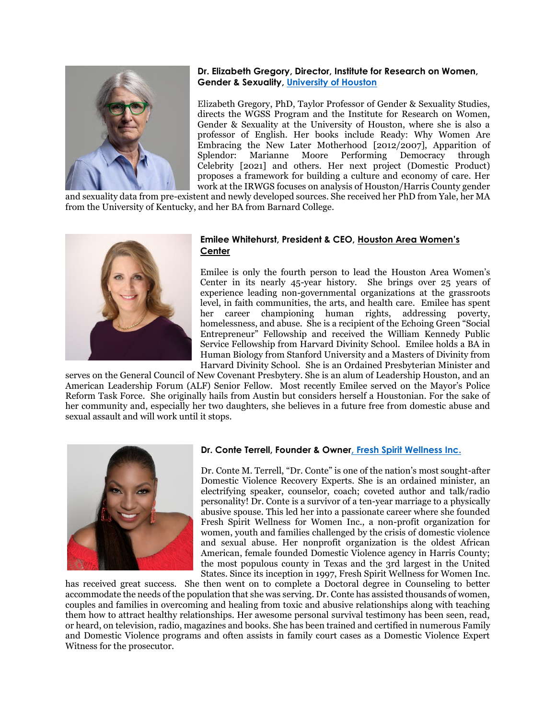

# **Dr. Elizabeth Gregory, Director, Institute for Research on Women, Gender & Sexuality, [University of Houston](https://uh.edu/class/ws/irwgs/about/)**

Elizabeth Gregory, PhD, Taylor Professor of Gender & Sexuality Studies, directs the WGSS Program and the Institute for Research on Women, Gender & Sexuality at the University of Houston, where she is also a professor of English. Her books include Ready: Why Women Are Embracing the New Later Motherhood [2012/2007], Apparition of Splendor: Marianne Moore Performing Democracy through Celebrity [2021] and others. Her next project (Domestic Product) proposes a framework for building a culture and economy of care. Her work at the IRWGS focuses on analysis of Houston/Harris County gender

and sexuality data from pre-existent and newly developed sources. She received her PhD from Yale, her MA from the University of Kentucky, and her BA from Barnard College.



## **Emilee Whitehurst, President & CEO, [Houston Area Women's](https://hawc.org/)  [Center](https://hawc.org/)**

Emilee is only the fourth person to lead the Houston Area Women's Center in its nearly 45-year history. She brings over 25 years of experience leading non-governmental organizations at the grassroots level, in faith communities, the arts, and health care. Emilee has spent her career championing human rights, addressing poverty, homelessness, and abuse. She is a recipient of the Echoing Green "Social Entrepreneur" Fellowship and received the William Kennedy Public Service Fellowship from Harvard Divinity School. Emilee holds a BA in Human Biology from Stanford University and a Masters of Divinity from Harvard Divinity School. She is an Ordained Presbyterian Minister and

serves on the General Council of New Covenant Presbytery. She is an alum of Leadership Houston, and an American Leadership Forum (ALF) Senior Fellow. Most recently Emilee served on the Mayor's Police Reform Task Force. She originally hails from Austin but considers herself a Houstonian. For the sake of her community and, especially her two daughters, she believes in a future free from domestic abuse and sexual assault and will work until it stops.



### **Dr. Conte Terrell, Founder & Owne[r, Fresh Spirit Wellness Inc.](http://www.freshspirit.org/?fbclid=IwAR2GhXdz9jO8yVmk9VlI0FRLzFcZDDNPtlUq6Ral5xxOPfQecUN7G3pTjok)**

Dr. Conte M. Terrell, "Dr. Conte" is one of the nation's most sought-after Domestic Violence Recovery Experts. She is an ordained minister, an electrifying speaker, counselor, coach; coveted author and talk/radio personality! Dr. Conte is a survivor of a ten-year marriage to a physically abusive spouse. This led her into a passionate career where she founded Fresh Spirit Wellness for Women Inc., a non-profit organization for women, youth and families challenged by the crisis of domestic violence and sexual abuse. Her nonprofit organization is the oldest African American, female founded Domestic Violence agency in Harris County; the most populous county in Texas and the 3rd largest in the United States. Since its inception in 1997, Fresh Spirit Wellness for Women Inc.

has received great success. She then went on to complete a Doctoral degree in Counseling to better accommodate the needs of the population that she was serving. Dr. Conte has assisted thousands of women, couples and families in overcoming and healing from toxic and abusive relationships along with teaching them how to attract healthy relationships. Her awesome personal survival testimony has been seen, read, or heard, on television, radio, magazines and books. She has been trained and certified in numerous Family and Domestic Violence programs and often assists in family court cases as a Domestic Violence Expert Witness for the prosecutor.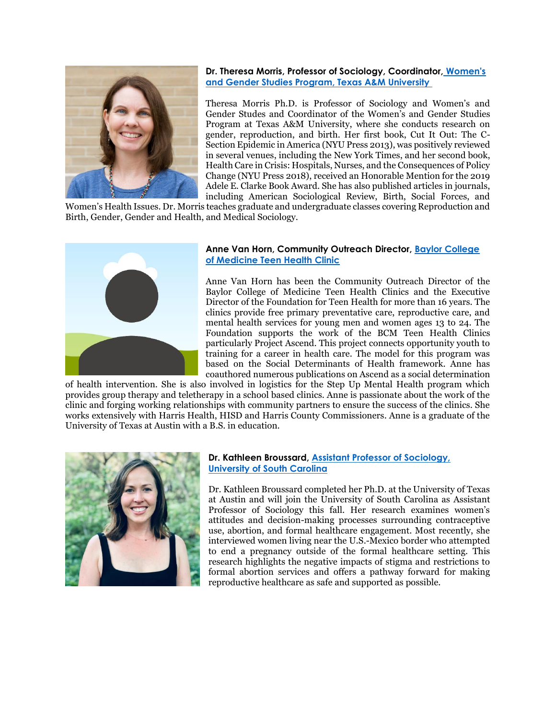

**Dr. Theresa Morris, Professor of Sociology, Coordinator, [Women's](https://catalog.tamu.edu/undergraduate/liberal-arts/womens-gender-studies-ba/)  [and Gender Studies Program, Texas A&M University](https://catalog.tamu.edu/undergraduate/liberal-arts/womens-gender-studies-ba/)**

Theresa Morris Ph.D. is Professor of Sociology and Women's and Gender Studes and Coordinator of the Women's and Gender Studies Program at Texas A&M University, where she conducts research on gender, reproduction, and birth. Her first book, Cut It Out: The C-Section Epidemic in America (NYU Press 2013), was positively reviewed in several venues, including the New York Times, and her second book, Health Care in Crisis: Hospitals, Nurses, and the Consequences of Policy Change (NYU Press 2018), received an Honorable Mention for the 2019 Adele E. Clarke Book Award. She has also published articles in journals, including American Sociological Review, Birth, Social Forces, and

Women's Health Issues. Dr. Morris teaches graduate and undergraduate classes covering Reproduction and Birth, Gender, Gender and Health, and Medical Sociology.



## **Anne Van Horn, Community Outreach Director, [Baylor College](https://www.bcm.edu/community/healthcare-outreach/teen-health-clinic)  [of Medicine Teen Health Clinic](https://www.bcm.edu/community/healthcare-outreach/teen-health-clinic)**

Anne Van Horn has been the Community Outreach Director of the Baylor College of Medicine Teen Health Clinics and the Executive Director of the Foundation for Teen Health for more than 16 years. The clinics provide free primary preventative care, reproductive care, and mental health services for young men and women ages 13 to 24. The Foundation supports the work of the BCM Teen Health Clinics particularly Project Ascend. This project connects opportunity youth to training for a career in health care. The model for this program was based on the Social Determinants of Health framework. Anne has coauthored numerous publications on Ascend as a social determination

of health intervention. She is also involved in logistics for the Step Up Mental Health program which provides group therapy and teletherapy in a school based clinics. Anne is passionate about the work of the clinic and forging working relationships with community partners to ensure the success of the clinics. She works extensively with Harris Health, HISD and Harris County Commissioners. Anne is a graduate of the University of Texas at Austin with a B.S. in education.



# **Dr. Kathleen Broussard, [Assistant Professor of Sociology,](https://kathleenbroussard.com/about/)  [University of South Carolina](https://kathleenbroussard.com/about/)**

Dr. Kathleen Broussard completed her Ph.D. at the University of Texas at Austin and will join the University of South Carolina as Assistant Professor of Sociology this fall. Her research examines women's attitudes and decision-making processes surrounding contraceptive use, abortion, and formal healthcare engagement. Most recently, she interviewed women living near the U.S.-Mexico border who attempted to end a pregnancy outside of the formal healthcare setting. This research highlights the negative impacts of stigma and restrictions to formal abortion services and offers a pathway forward for making reproductive healthcare as safe and supported as possible.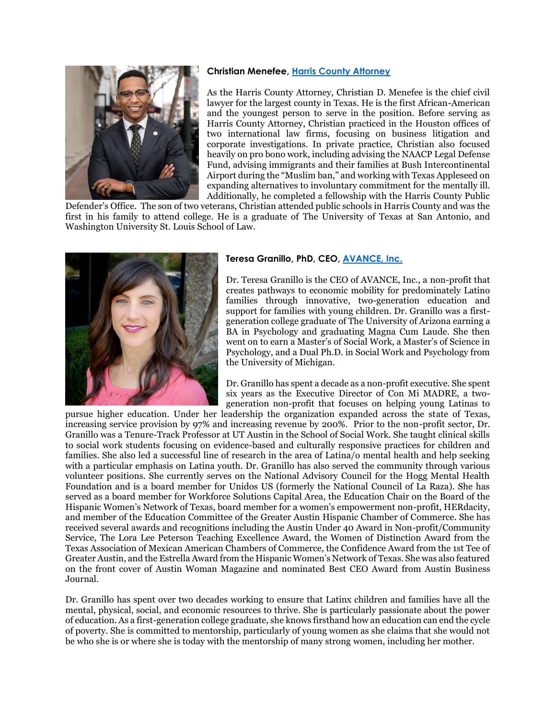### **Christian Menefee, [Harris County Attorney](https://cao.harriscountytx.gov/)**



As the Harris County Attorney, Christian D. Menefee is the chief civil lawyer for the largest county in Texas. He is the first African-American and the youngest person to serve in the position. Before serving as Harris County Attorney, Christian practiced in the Houston offices of two international law firms, focusing on business litigation and corporate investigations. In private practice, Christian also focused heavily on pro bono work, including advising the NAACP Legal Defense Fund, advising immigrants and their families at Bush Intercontinental Airport during the "Muslim ban," and working with Texas Appleseed on expanding alternatives to involuntary commitment for the mentally ill. Additionally, he completed a fellowship with the Harris County Public

Defender's Office. The son of two veterans, Christian attended public schools in Harris County and was the first in his family to attend college. He is a graduate of The University of Texas at San Antonio, and Washington University St. Louis School of Law.



## **Teresa Granillo, PhD, CEO, [AVANCE, Inc.](https://www.avance.org/)**

Dr. Teresa Granillo is the CEO of AVANCE, Inc., a non-profit that creates pathways to economic mobility for predominately Latino families through innovative, two-generation education and support for families with young children. Dr. Granillo was a firstgeneration college graduate of The University of Arizona earning a BA in Psychology and graduating Magna Cum Laude. She then went on to earn a Master's of Social Work, a Master's of Science in Psychology, and a Dual Ph.D. in Social Work and Psychology from the University of Michigan.

Dr. Granillo has spent a decade as a non-profit executive. She spent six years as the Executive Director of Con Mi MADRE, a twogeneration non-profit that focuses on helping young Latinas to

pursue higher education. Under her leadership the organization expanded across the state of Texas, increasing service provision by 97% and increasing revenue by 200%. Prior to the non-profit sector, Dr. Granillo was a Tenure-Track Professor at UT Austin in the School of Social Work. She taught clinical skills to social work students focusing on evidence-based and culturally responsive practices for children and families. She also led a successful line of research in the area of Latina/o mental health and help seeking with a particular emphasis on Latina youth. Dr. Granillo has also served the community through various volunteer positions. She currently serves on the National Advisory Council for the Hogg Mental Health Foundation and is a board member for Unidos US (formerly the National Council of La Raza). She has served as a board member for Workforce Solutions Capital Area, the Education Chair on the Board of the Hispanic Women's Network of Texas, board member for a women's empowerment non-profit, HERdacity, and member of the Education Committee of the Greater Austin Hispanic Chamber of Commerce. She has received several awards and recognitions including the Austin Under 40 Award in Non-profit/Community Service, The Lora Lee Peterson Teaching Excellence Award, the Women of Distinction Award from the Texas Association of Mexican American Chambers of Commerce, the Confidence Award from the 1st Tee of Greater Austin, and the Estrella Award from the Hispanic Women's Network of Texas. She was also featured on the front cover of Austin Woman Magazine and nominated Best CEO Award from Austin Business Journal.

Dr. Granillo has spent over two decades working to ensure that Latinx children and families have all the mental, physical, social, and economic resources to thrive. She is particularly passionate about the power of education. As a first-generation college graduate, she knows firsthand how an education can end the cycle of poverty. She is committed to mentorship, particularly of young women as she claims that she would not be who she is or where she is today with the mentorship of many strong women, including her mother.